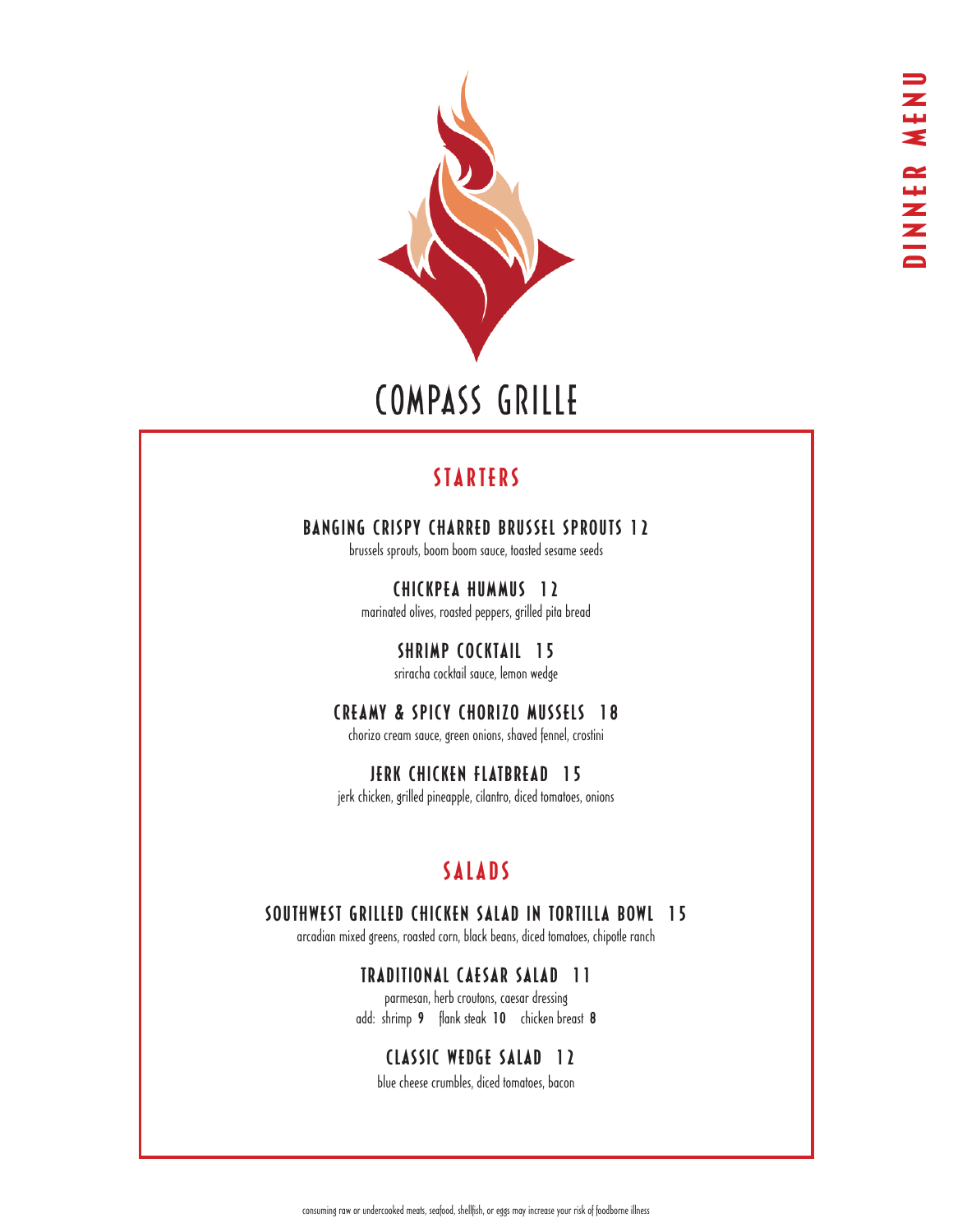

# COMPASS GRILLE

## STARTERS

## BANGING CRISPY CHARRED BRUSSEL SPROUTS 12

brussels sprouts, boom boom sauce, toasted sesame seeds

CHICKPEA HUMMUS 12 marinated olives, roasted peppers, grilled pita bread

> SHRIMP COCKTAIL 15 sriracha cocktail sauce, lemon wedge

# CREAMY & SPICY CHORIZO MUSSELS 18

chorizo cream sauce, green onions, shaved fennel, crostini

JERK CHICKEN FLATBREAD 15 jerk chicken, grilled pineapple, cilantro, diced tomatoes, onions

# SALADS

### SOUTHWEST GRILLED CHICKEN SALAD IN TORTILLA BOWL 15

arcadian mixed greens, roasted corn, black beans, diced tomatoes, chipotle ranch

### TRADITIONAL CAESAR SALAD 11

parmesan, herb croutons, caesar dressing add: shrimp 9 flank steak 10 chicken breast 8

### CLASSIC WEDGE SALAD 12

blue cheese crumbles, diced tomatoes, bacon